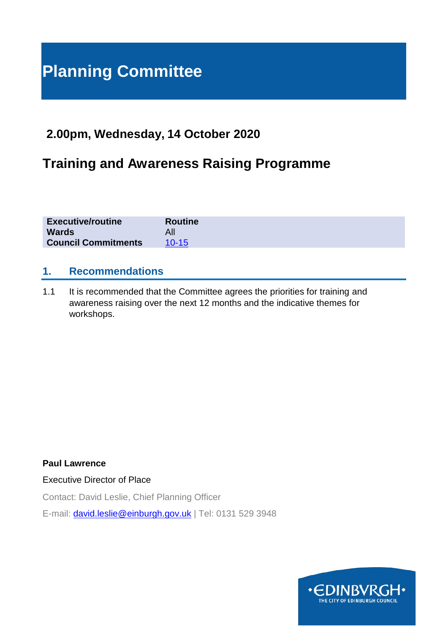# **Planning Committee**

# **2.00pm, Wednesday, 14 October 2020**

# **Training and Awareness Raising Programme**

| <b>Executive/routine</b>   | <b>Routine</b> |
|----------------------------|----------------|
| <b>Wards</b>               |                |
| <b>Council Commitments</b> | $10 - 15$      |

#### **1. Recommendations**

1.1 It is recommended that the Committee agrees the priorities for training and awareness raising over the next 12 months and the indicative themes for workshops.

**Paul Lawrence**

Executive Director of Place

Contact: David Leslie, Chief Planning Officer E-mail: [david.leslie@einburgh.gov.uk](mailto:david.leslie@einburgh.gov.uk) | Tel: 0131 529 3948

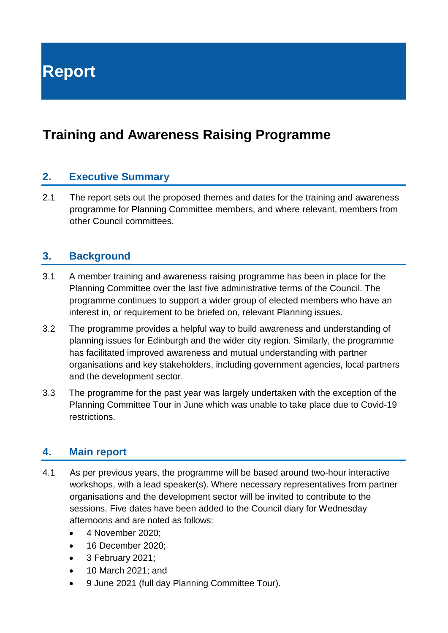**Report**

# **Training and Awareness Raising Programme**

### **2. Executive Summary**

2.1 The report sets out the proposed themes and dates for the training and awareness programme for Planning Committee members, and where relevant, members from other Council committees.

#### **3. Background**

- 3.1 A member training and awareness raising programme has been in place for the Planning Committee over the last five administrative terms of the Council. The programme continues to support a wider group of elected members who have an interest in, or requirement to be briefed on, relevant Planning issues.
- 3.2 The programme provides a helpful way to build awareness and understanding of planning issues for Edinburgh and the wider city region. Similarly, the programme has facilitated improved awareness and mutual understanding with partner organisations and key stakeholders, including government agencies, local partners and the development sector.
- 3.3 The programme for the past year was largely undertaken with the exception of the Planning Committee Tour in June which was unable to take place due to Covid-19 restrictions.

#### **4. Main report**

- 4.1 As per previous years, the programme will be based around two-hour interactive workshops, with a lead speaker(s). Where necessary representatives from partner organisations and the development sector will be invited to contribute to the sessions. Five dates have been added to the Council diary for Wednesday afternoons and are noted as follows:
	- 4 November 2020;
	- 16 December 2020:
	- 3 February 2021;
	- 10 March 2021; and
	- 9 June 2021 (full day Planning Committee Tour).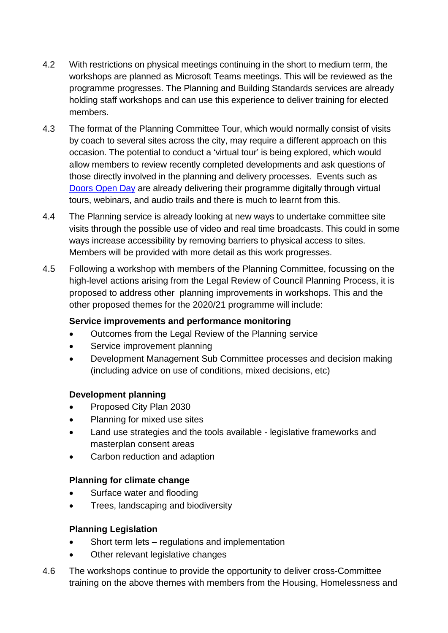- 4.2 With restrictions on physical meetings continuing in the short to medium term, the workshops are planned as Microsoft Teams meetings. This will be reviewed as the programme progresses. The Planning and Building Standards services are already holding staff workshops and can use this experience to deliver training for elected members.
- 4.3 The format of the Planning Committee Tour, which would normally consist of visits by coach to several sites across the city, may require a different approach on this occasion. The potential to conduct a 'virtual tour' is being explored, which would allow members to review recently completed developments and ask questions of those directly involved in the planning and delivery processes. Events such as [Doors Open Day](https://www.doorsopendays.org.uk/) are already delivering their programme digitally through virtual tours, webinars, and audio trails and there is much to learnt from this.
- 4.4 The Planning service is already looking at new ways to undertake committee site visits through the possible use of video and real time broadcasts. This could in some ways increase accessibility by removing barriers to physical access to sites. Members will be provided with more detail as this work progresses.
- 4.5 Following a workshop with members of the Planning Committee, focussing on the high-level actions arising from the Legal Review of Council Planning Process, it is proposed to address other planning improvements in workshops. This and the other proposed themes for the 2020/21 programme will include:

#### **Service improvements and performance monitoring**

- Outcomes from the Legal Review of the Planning service
- Service improvement planning
- Development Management Sub Committee processes and decision making (including advice on use of conditions, mixed decisions, etc)

#### **Development planning**

- Proposed City Plan 2030
- Planning for mixed use sites
- Land use strategies and the tools available legislative frameworks and masterplan consent areas
- Carbon reduction and adaption

#### **Planning for climate change**

- Surface water and flooding
- Trees, landscaping and biodiversity

#### **Planning Legislation**

- Short term lets regulations and implementation
- Other relevant legislative changes
- 4.6 The workshops continue to provide the opportunity to deliver cross-Committee training on the above themes with members from the Housing, Homelessness and